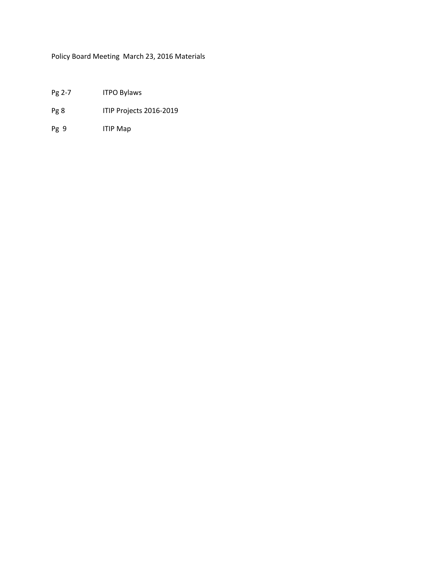Policy Board Meeting March 23, 2016 Materials

- Pg 2-7 ITPO Bylaws
- Pg 8 ITIP Projects 2016-2019
- Pg 9 ITIP Map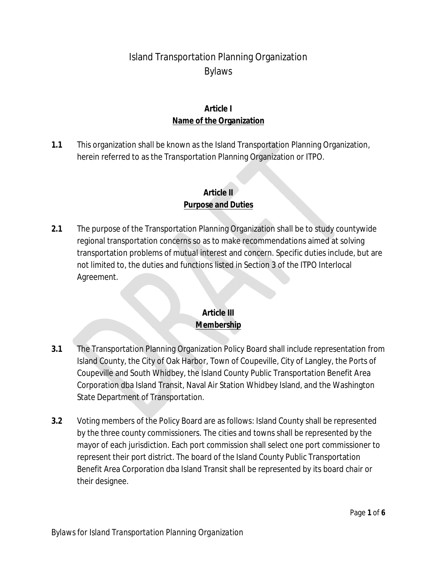# Island Transportation Planning Organization Bylaws

#### **Article I Name of the Organization**

**1.1** This organization shall be known as the Island Transportation Planning Organization, herein referred to as the Transportation Planning Organization or ITPO.

#### **Article II Purpose and Duties**

**2.1** The purpose of the Transportation Planning Organization shall be to study countywide regional transportation concerns so as to make recommendations aimed at solving transportation problems of mutual interest and concern. Specific duties include, but are not limited to, the duties and functions listed in Section 3 of the ITPO Interlocal Agreement.

#### **Article III Membership**

- **3.1** The Transportation Planning Organization Policy Board shall include representation from Island County, the City of Oak Harbor, Town of Coupeville, City of Langley, the Ports of Coupeville and South Whidbey, the Island County Public Transportation Benefit Area Corporation dba Island Transit, Naval Air Station Whidbey Island, and the Washington State Department of Transportation.
- **3.2** Voting members of the Policy Board are as follows: Island County shall be represented by the three county commissioners. The cities and towns shall be represented by the mayor of each jurisdiction. Each port commission shall select one port commissioner to represent their port district. The board of the Island County Public Transportation Benefit Area Corporation dba Island Transit shall be represented by its board chair or their designee.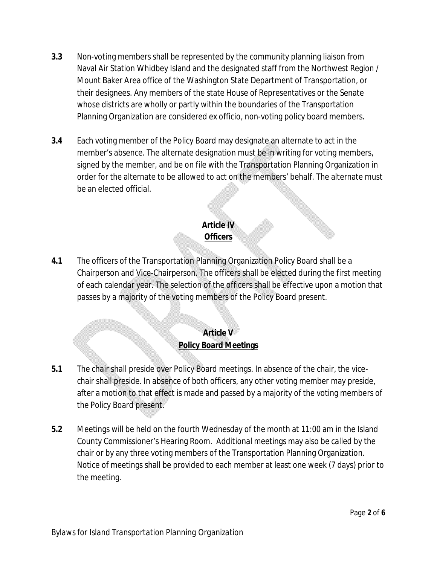- **3.3** Non-voting members shall be represented by the community planning liaison from Naval Air Station Whidbey Island and the designated staff from the Northwest Region / Mount Baker Area office of the Washington State Department of Transportation, or their designees. Any members of the state House of Representatives or the Senate whose districts are wholly or partly within the boundaries of the Transportation Planning Organization are considered ex officio, non-voting policy board members.
- **3.4** Each voting member of the Policy Board may designate an alternate to act in the member's absence. The alternate designation must be in writing for voting members, signed by the member, and be on file with the Transportation Planning Organization in order for the alternate to be allowed to act on the members' behalf. The alternate must be an elected official.

# **Article IV Officers**

**4.1** The officers of the Transportation Planning Organization Policy Board shall be a Chairperson and Vice-Chairperson. The officers shall be elected during the first meeting of each calendar year. The selection of the officers shall be effective upon a motion that passes by a majority of the voting members of the Policy Board present.

#### **Article V Policy Board Meetings**

- **5.1** The chair shall preside over Policy Board meetings. In absence of the chair, the vicechair shall preside. In absence of both officers, any other voting member may preside, after a motion to that effect is made and passed by a majority of the voting members of the Policy Board present.
- **5.2** Meetings will be held on the fourth Wednesday of the month at 11:00 am in the Island County Commissioner's Hearing Room. Additional meetings may also be called by the chair or by any three voting members of the Transportation Planning Organization. Notice of meetings shall be provided to each member at least one week (7 days) prior to the meeting.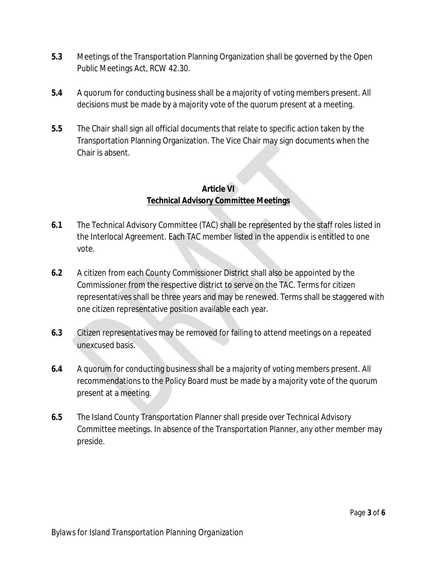- **5.3** Meetings of the Transportation Planning Organization shall be governed by the Open Public Meetings Act, RCW 42.30.
- **5.4** A quorum for conducting business shall be a majority of voting members present. All decisions must be made by a majority vote of the quorum present at a meeting.
- **5.5** The Chair shall sign all official documents that relate to specific action taken by the Transportation Planning Organization. The Vice Chair may sign documents when the Chair is absent.

#### **Article VI Technical Advisory Committee Meetings**

- **6.1** The Technical Advisory Committee (TAC) shall be represented by the staff roles listed in the Interlocal Agreement. Each TAC member listed in the appendix is entitled to one vote.
- **6.2** A citizen from each County Commissioner District shall also be appointed by the Commissioner from the respective district to serve on the TAC. Terms for citizen representatives shall be three years and may be renewed. Terms shall be staggered with one citizen representative position available each year.
- **6.3** Citizen representatives may be removed for failing to attend meetings on a repeated unexcused basis.
- **6.4** A quorum for conducting business shall be a majority of voting members present. All recommendations to the Policy Board must be made by a majority vote of the quorum present at a meeting.
- **6.5** The Island County Transportation Planner shall preside over Technical Advisory Committee meetings. In absence of the Transportation Planner, any other member may preside.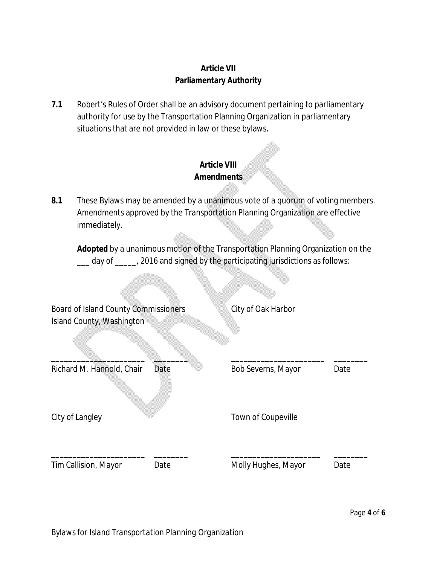#### **Article VII Parliamentary Authority**

**7.1** Robert's Rules of Order shall be an advisory document pertaining to parliamentary authority for use by the Transportation Planning Organization in parliamentary situations that are not provided in law or these bylaws.

### **Article VIII Amendments**

**8.1** These Bylaws may be amended by a unanimous vote of a quorum of voting members. Amendments approved by the Transportation Planning Organization are effective immediately.

**Adopted** by a unanimous motion of the Transportation Planning Organization on the \_\_\_ day of \_\_\_\_\_, 2016 and signed by the participating jurisdictions as follows:

| <b>Board of Island County Commissioners</b><br>Island County, Washington |      | City of Oak Harbor  |      |
|--------------------------------------------------------------------------|------|---------------------|------|
| Richard M. Hannold, Chair                                                | Date | Bob Severns, Mayor  | Date |
| City of Langley                                                          |      | Town of Coupeville  |      |
| Tim Callision, Mayor                                                     | Date | Molly Hughes, Mayor | Date |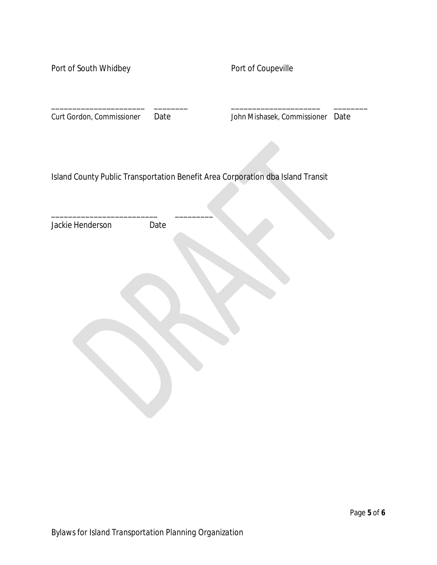Port of South Whidbey **Port of Coupeville** 

Curt Gordon, Commissioner Date John Mishasek, Commissioner Date

Island County Public Transportation Benefit Area Corporation dba Island Transit

\_\_\_\_\_\_\_\_\_\_\_\_\_\_\_\_\_\_\_\_\_\_ \_\_\_\_\_\_\_\_ \_\_\_\_\_\_\_\_\_\_\_\_\_\_\_\_\_\_\_\_\_ \_\_\_\_\_\_\_\_

Jackie Henderson Date

\_\_\_\_\_\_\_\_\_\_\_\_\_\_\_\_\_\_\_\_\_\_\_\_\_ \_\_\_\_\_\_\_\_\_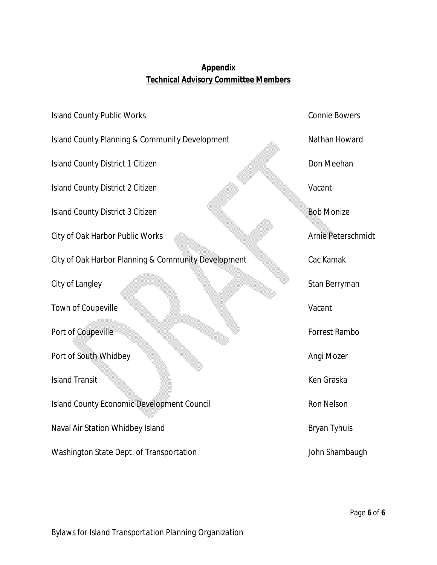# **Appendix Technical Advisory Committee Members**

| <b>Island County Public Works</b>                         | <b>Connie Bowers</b>      |
|-----------------------------------------------------------|---------------------------|
| <b>Island County Planning &amp; Community Development</b> | Nathan Howard             |
| <b>Island County District 1 Citizen</b>                   | Don Meehan                |
| <b>Island County District 2 Citizen</b>                   | Vacant                    |
| <b>Island County District 3 Citizen</b>                   | <b>Bob Monize</b>         |
| City of Oak Harbor Public Works                           | <b>Arnie Peterschmidt</b> |
| City of Oak Harbor Planning & Community Development       | Cac Kamak                 |
| City of Langley                                           | Stan Berryman             |
| Town of Coupeville                                        | Vacant                    |
| Port of Coupeville                                        | Forrest Rambo             |
| Port of South Whidbey                                     | Angi Mozer                |
| <b>Island Transit</b>                                     | Ken Graska                |
| <b>Island County Economic Development Council</b>         | <b>Ron Nelson</b>         |
| Naval Air Station Whidbey Island                          | <b>Bryan Tyhuis</b>       |
| Washington State Dept. of Transportation                  | John Shambaugh            |

*Bylaws for Island Transportation Planning Organization*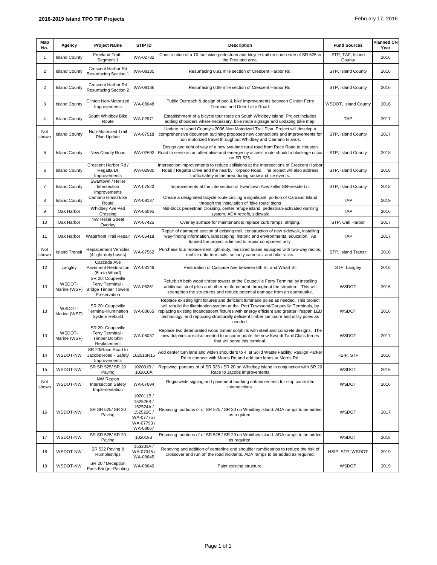| Map<br>No.     | Agency                 | <b>Project Name</b>                                                                  | STIP ID                                                                           | <b>Description</b>                                                                                                                                                                                                                                                                                                                                                          | <b>Fund Sources</b>        | <b>Planned CN</b><br>Year |
|----------------|------------------------|--------------------------------------------------------------------------------------|-----------------------------------------------------------------------------------|-----------------------------------------------------------------------------------------------------------------------------------------------------------------------------------------------------------------------------------------------------------------------------------------------------------------------------------------------------------------------------|----------------------------|---------------------------|
| 1              | <b>Island County</b>   | Freeland Trail -<br>Segment 1                                                        | WA-02732                                                                          | Construction of a 10 foot wide pedestrian and bicycle trail on south side of SR 525 in<br>the Freeland area.                                                                                                                                                                                                                                                                | STP, TAP, Island<br>County | 2016                      |
| $\overline{c}$ | <b>Island County</b>   | Crescent Harbor Rd<br>Resurfacing Section 1                                          | WA-08135                                                                          | Resurfacing 0.91 mile section of Crescent Harbor Rd.                                                                                                                                                                                                                                                                                                                        | STP, Island County         | 2016                      |
| $\overline{2}$ | <b>Island County</b>   | Crescent Harbor Rd<br>Resurfacing Section 2                                          | WA-08136                                                                          | Resurfacing 0.69 mile section of Crescent Harbor Rd.                                                                                                                                                                                                                                                                                                                        | STP, Island County         | 2016                      |
| 3              | <b>Island County</b>   | Clinton Non-Motorized<br>Improvements                                                | WA-08048                                                                          | Public Outreach & design of ped & bike improvements between Clinton Ferry<br>Terminal and Deer Lake Road.                                                                                                                                                                                                                                                                   | WSDOT, Island County       | 2016                      |
| 4              | <b>Island County</b>   | South Whidbey Bike<br>Route                                                          | WA-02971                                                                          | Establishment of a bicycle tour route on South Whidbey Island. Project includes<br>adding shoulders where necessary, bike route signage and updating bike map.                                                                                                                                                                                                              | <b>TAP</b>                 | 2017                      |
| Not<br>shown   | <b>Island County</b>   | Non-Motorized Trail<br>Plan Update                                                   | WA-07518                                                                          | Update to Island County's 2006 Non Motorized Trail Plan. Project will develop a<br>comprehensive document outlining proposed new connections and improvements for<br>non motorized travel throughout Whidbey and Camano Islands.                                                                                                                                            | STP, Island County         | 2017                      |
| 5              | <b>Island County</b>   | New County Road                                                                      | WA-02693                                                                          | Design and right of way of a new two-lane rural road from Race Road to Houston<br>Road to serve as an alternative and emergency access route should a blockage occur<br>on SR 525.                                                                                                                                                                                          | STP, Island County         | 2018                      |
| 6              | <b>Island County</b>   | Crescent Harbor Rd<br>Regatta Dr<br>Improvements                                     | WA-02980                                                                          | Intersection improvements to reduce collisions at the intersections of Crescent Harbor<br>Road / Regatta Drive and the nearby Torpedo Road. The project will also address<br>traffic safety in the area during snow and ice events.                                                                                                                                         | STP, Island County         | 2018                      |
| 7              | <b>Island County</b>   | Swantown / Heller<br>Intersection<br>Improvements                                    | WA-07520                                                                          | Improvements at the intersection of Swantown Ave/Heller St/Fireside Ln.                                                                                                                                                                                                                                                                                                     | STP, Island County         | 2018                      |
| 8              | <b>Island County</b>   | Camano Island Bike<br>Route                                                          | WA-08137                                                                          | Create a designated bicycle route circling a significant portion of Camano Island<br>through the installation of 'bike route' signs                                                                                                                                                                                                                                         | <b>TAP</b>                 | 2019                      |
| 9              | Oak Harbor             | Whidbey Ave Ped<br>Crossing                                                          | WA-06095                                                                          | Mid-block pedestrian crossing, center refuge island, pedestrian-activated warning<br>system, ADA retrofit, sidewalk                                                                                                                                                                                                                                                         | <b>TAP</b>                 | 2016                      |
| 10             | Oak Harbor             | <b>NW Heller Street</b><br>Overlay                                                   | WA-07425                                                                          | Overlay surface for maintenance; replace curb ramps; striping.                                                                                                                                                                                                                                                                                                              | STP. Oak Harbor            | 2017                      |
| 11             | Oak Harbor             | Waterfront Trail Repair                                                              | WA-06418                                                                          | Repair of damaged section of existing trail, construction of new sidewalk, installing<br>way-finding information, landscaping, historic and environmental education. As<br>funded the project is limited to repair component only.                                                                                                                                          | TAP                        | 2017                      |
| Not<br>shown   | <b>Island Transit</b>  | <b>Replacement Vehicles</b><br>(4 light-duty buses)                                  | WA-07562                                                                          | Purchase four replacement light-duty, midsized buses equipped with two-way radios,<br>mobile data terminals, security cameras, and bike racks.                                                                                                                                                                                                                              | STP, Island Transit        | 2016                      |
| 12             | Langley                | Cascade Ave<br><b>Pavement Restoration</b><br>(6th to Wharf)                         | WA-08146                                                                          | Restoration of Cascade Ave between 6th St. and Wharf St.                                                                                                                                                                                                                                                                                                                    | STP, Langley               | 2016                      |
| 13             | WSDOT-<br>Marine (WSF) | SR 20: Coupeville<br>Ferry Terminal -<br><b>Bridge Timber Towers</b><br>Preservation | WA-05261                                                                          | Refurbish both wood timber towers at the Coupeville Ferry Terminal by installing<br>additional steel piles and other reinforcement throughout the structure. This will<br>strengthen the structures and reduce potential damage from an earthquake.                                                                                                                         | <b>WSDOT</b>               | 2016                      |
| 13             | WSDOT-<br>Marine (WSF) | SR 20: Coupeville<br>Terminal-Illumination<br>System Rebuild                         | WA-08665                                                                          | Replace existing light fixtures and deficient luminaire poles as needed. This project<br>will rebuild the illumination system at the Port Townsend/Coupeville Terminals, by<br>replacing existing incandescent fixtures with energy efficient and greater lifespan LED<br>technology, and replacing structurally deficient timber luminaire and utility poles as<br>needed. | WSDOT                      | 2016                      |
| 13             | WSDOT-<br>Marine (WSF) | SR 20: Coupeville<br>Ferry Terminal -<br><b>Timber Dolphin</b><br>Replacement        | WA-05087                                                                          | Replace two deteriorated wood timber dolphins with steel and concrete designs. The<br>new dolphins are also needed to accommodate the new Kwa-di Tabil Class ferries<br>that will serve this terminal.                                                                                                                                                                      | <b>WSDOT</b>               | 2017                      |
| 14             | WSDOT-NW               | SR 20/Race Road to<br>Jacobs Road - Safety 102010R15<br>Improvements                 |                                                                                   | Add center turn lane and widen shoulders to 4' at Solid Waste Facility; Realign Parker<br>Rd to connect with Morris Rd and add turn lanes at Morris Rd.                                                                                                                                                                                                                     | HSIP, STP                  | 2016                      |
| 15             | WSDOT-NW               | SR SR 525/ SR 20<br>Paving                                                           | 102001B/<br>102010A                                                               | Repaving portions of of SR 525 / SR 20 on Whidbey Island in conjunction with SR 20<br>Race to Jacobs improvements                                                                                                                                                                                                                                                           | WSDOT                      | 2016                      |
| Not<br>shown   | WSDOT-NW               | <b>NW Region</b><br><b>Intersection Safety</b><br>Implementation                     | WA-07694                                                                          | Regionwide signing and pavement marking enhancements for stop controlled<br>intersections.                                                                                                                                                                                                                                                                                  | WSDOT                      | 2016                      |
| 16             | WSDOT-NW               | SR SR 525/ SR 20<br>Paving                                                           | 102011B/<br>152526B/<br>152524A/<br>152522C<br>WA-07775/<br>WA-07793/<br>WA-08667 | Repaving portions of of SR 525 / SR 20 on Whidbey Island. ADA ramps to be added<br>as required.                                                                                                                                                                                                                                                                             | WSDOT                      | 2017                      |
| 17             | WSDOT-NW               | SR SR 525/ SR 20<br>Paving                                                           | 102018B                                                                           | Repaving portions of of SR 525 / SR 20 on Whidbey Island. ADA ramps to be added<br>as required.                                                                                                                                                                                                                                                                             | <b>WSDOT</b>               | 2018                      |
| 18             | WSDOT-NW               | SR 532 Paving &<br>Rumblestrips                                                      | 153201A/<br>WA-07345/<br>WA-08645                                                 | Repaving and addition of centerline and shoulder rumblestrips to reduce the risk of<br>crossover and run off the road incidents. ADA ramps to be added as required.                                                                                                                                                                                                         | HSIP, STP, WSDOT           | 2019                      |
| 19             | WSDOT-NW               | SR 20 / Deception<br>Pass Bridge--Painting                                           | WA-08640                                                                          | Paint existing structure.                                                                                                                                                                                                                                                                                                                                                   | WSDOT                      | 2019                      |